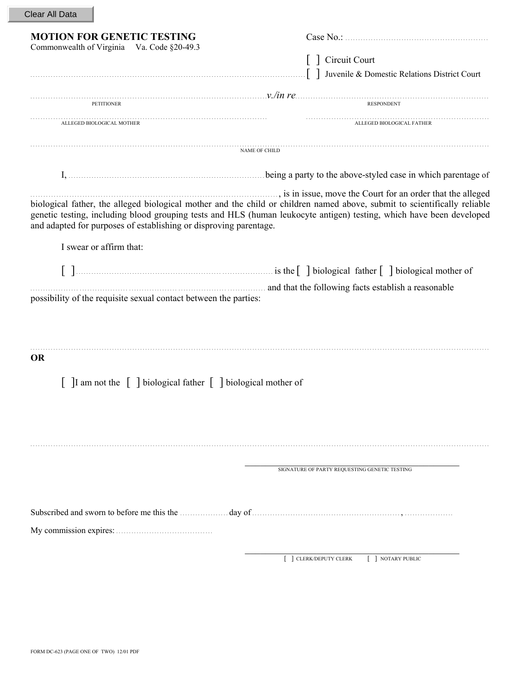| Clear All Data |  |  |
|----------------|--|--|
|----------------|--|--|

| <b>MOTION FOR GENETIC TESTING</b>                                                                                                                                                                                                                  |                                                                                                                                                                                                                                                                                                                |  |
|----------------------------------------------------------------------------------------------------------------------------------------------------------------------------------------------------------------------------------------------------|----------------------------------------------------------------------------------------------------------------------------------------------------------------------------------------------------------------------------------------------------------------------------------------------------------------|--|
| Commonwealth of Virginia Va. Code §20-49.3                                                                                                                                                                                                         | Circuit Court                                                                                                                                                                                                                                                                                                  |  |
|                                                                                                                                                                                                                                                    | ] Juvenile & Domestic Relations District Court                                                                                                                                                                                                                                                                 |  |
|                                                                                                                                                                                                                                                    | $v$ , $\frac{v}{m}$ if $\frac{r}{m}$ . RESPONDENT                                                                                                                                                                                                                                                              |  |
| ALLEGED BIOLOGICAL MOTHER                                                                                                                                                                                                                          | ALLEGED BIOLOGICAL FATHER                                                                                                                                                                                                                                                                                      |  |
|                                                                                                                                                                                                                                                    | NAME OF CHILD                                                                                                                                                                                                                                                                                                  |  |
|                                                                                                                                                                                                                                                    | I, <i>manufactured in which parentage of</i>                                                                                                                                                                                                                                                                   |  |
| and adapted for purposes of establishing or disproving parentage.                                                                                                                                                                                  | is in issue, move the Court for an order that the alleged<br>biological father, the alleged biological mother and the child or children named above, submit to scientifically reliable<br>genetic testing, including blood grouping tests and HLS (human leukocyte antigen) testing, which have been developed |  |
| I swear or affirm that:                                                                                                                                                                                                                            |                                                                                                                                                                                                                                                                                                                |  |
|                                                                                                                                                                                                                                                    |                                                                                                                                                                                                                                                                                                                |  |
| possibility of the requisite sexual contact between the parties:                                                                                                                                                                                   | and that the following facts establish a reasonable and that the following facts establish a reasonable                                                                                                                                                                                                        |  |
|                                                                                                                                                                                                                                                    |                                                                                                                                                                                                                                                                                                                |  |
| <b>OR</b>                                                                                                                                                                                                                                          |                                                                                                                                                                                                                                                                                                                |  |
| [ ]I am not the [ ] biological father [ ] biological mother of                                                                                                                                                                                     |                                                                                                                                                                                                                                                                                                                |  |
|                                                                                                                                                                                                                                                    |                                                                                                                                                                                                                                                                                                                |  |
|                                                                                                                                                                                                                                                    |                                                                                                                                                                                                                                                                                                                |  |
|                                                                                                                                                                                                                                                    | SIGNATURE OF PARTY REQUESTING GENETIC TESTING                                                                                                                                                                                                                                                                  |  |
| Subscribed and sworn to before me this the <i>mature day</i> of <i>mature day</i> of <i>mature content n</i> , <i>mature of the mature of the mature of the mature of the mature of the mature of the mature of the mature of the mature of th</i> |                                                                                                                                                                                                                                                                                                                |  |
|                                                                                                                                                                                                                                                    |                                                                                                                                                                                                                                                                                                                |  |
|                                                                                                                                                                                                                                                    |                                                                                                                                                                                                                                                                                                                |  |
|                                                                                                                                                                                                                                                    | CLERK/DEPUTY CLERK<br>NOTARY PUBLIC                                                                                                                                                                                                                                                                            |  |